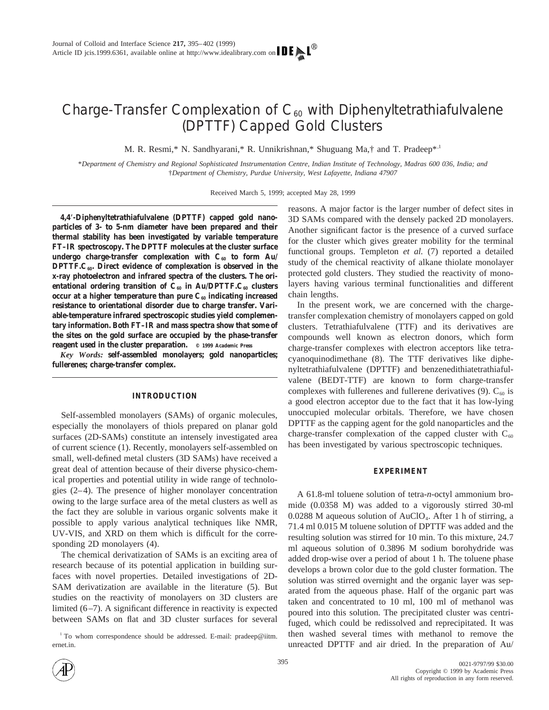# Charge-Transfer Complexation of  $C_{60}$  with Diphenyltetrathiafulvalene (DPTTF) Capped Gold Clusters

M. R. Resmi,\* N. Sandhyarani,\* R. Unnikrishnan,\* Shuguang Ma,† and T. Pradeep\*<sup>1</sup>

\**Department of Chemistry and Regional Sophisticated Instrumentation Centre, Indian Institute of Technology, Madras 600 036, India; and* †*Department of Chemistry, Purdue University, West Lafayette, Indiana 47907*

Received March 5, 1999; accepted May 28, 1999

**4,4**\***-Diphenyltetrathiafulvalene (DPTTF) capped gold nanoparticles of 3- to 5-nm diameter have been prepared and their thermal stability has been investigated by variable temperature FT–IR spectroscopy. The DPTTF molecules at the cluster surface undergo charge-transfer complexation with**  $C_{60}$  **to form Au/ DPTTF.C<sub>60</sub>. Direct evidence of complexation is observed in the x-ray photoelectron and infrared spectra of the clusters. The ori**entational ordering transition of C<sub>60</sub> in Au/DPTTF.C<sub>60</sub> clusters occur at a higher temperature than pure C<sub>60</sub> indicating increased **resistance to orientational disorder due to charge transfer. Variable-temperature infrared spectroscopic studies yield complementary information. Both FT–IR and mass spectra show that some of the sites on the gold surface are occupied by the phase-transfer reagent used in the cluster preparation. © 1999 Academic Press**

*Key Words:* **self-assembled monolayers; gold nanoparticles; fullerenes; charge-transfer complex.**

## **INTRODUCTION**

Self-assembled monolayers (SAMs) of organic molecules, especially the monolayers of thiols prepared on planar gold surfaces (2D-SAMs) constitute an intensely investigated area of current science (1). Recently, monolayers self-assembled on small, well-defined metal clusters (3D SAMs) have received a great deal of attention because of their diverse physico-chemical properties and potential utility in wide range of technologies (2–4). The presence of higher monolayer concentration owing to the large surface area of the metal clusters as well as the fact they are soluble in various organic solvents make it possible to apply various analytical techniques like NMR, UV-VIS, and XRD on them which is difficult for the corresponding 2D monolayers (4).

The chemical derivatization of SAMs is an exciting area of research because of its potential application in building surfaces with novel properties. Detailed investigations of 2D-SAM derivatization are available in the literature (5). But studies on the reactivity of monolayers on 3D clusters are limited (6–7). A significant difference in reactivity is expected between SAMs on flat and 3D cluster surfaces for several

<sup>1</sup> To whom correspondence should be addressed. E-mail: pradeep@iitm. ernet.in.

reasons. A major factor is the larger number of defect sites in 3D SAMs compared with the densely packed 2D monolayers. Another significant factor is the presence of a curved surface for the cluster which gives greater mobility for the terminal functional groups. Templeton *et al.* (7) reported a detailed study of the chemical reactivity of alkane thiolate monolayer protected gold clusters. They studied the reactivity of monolayers having various terminal functionalities and different chain lengths.

In the present work, we are concerned with the chargetransfer complexation chemistry of monolayers capped on gold clusters. Tetrathiafulvalene (TTF) and its derivatives are compounds well known as electron donors, which form charge-transfer complexes with electron acceptors like tetracyanoquinodimethane (8). The TTF derivatives like diphenyltetrathiafulvalene (DPTTF) and benzenedithiatetrathiafulvalene (BEDT-TTF) are known to form charge-transfer complexes with fullerenes and fullerene derivatives  $(9)$ .  $C_{60}$  is a good electron acceptor due to the fact that it has low-lying unoccupied molecular orbitals. Therefore, we have chosen DPTTF as the capping agent for the gold nanoparticles and the charge-transfer complexation of the capped cluster with  $C_{60}$ has been investigated by various spectroscopic techniques.

## **EXPERIMENT**

A 61.8-ml toluene solution of tetra-*n*-octyl ammonium bromide (0.0358 M) was added to a vigorously stirred 30-ml 0.0288 M aqueous solution of AuClO<sub>4</sub>. After 1 h of stirring, a 71.4 ml 0.015 M toluene solution of DPTTF was added and the resulting solution was stirred for 10 min. To this mixture, 24.7 ml aqueous solution of 0.3896 M sodium borohydride was added drop-wise over a period of about 1 h. The toluene phase develops a brown color due to the gold cluster formation. The solution was stirred overnight and the organic layer was separated from the aqueous phase. Half of the organic part was taken and concentrated to 10 ml, 100 ml of methanol was poured into this solution. The precipitated cluster was centrifuged, which could be redissolved and reprecipitated. It was then washed several times with methanol to remove the unreacted DPTTF and air dried. In the preparation of Au/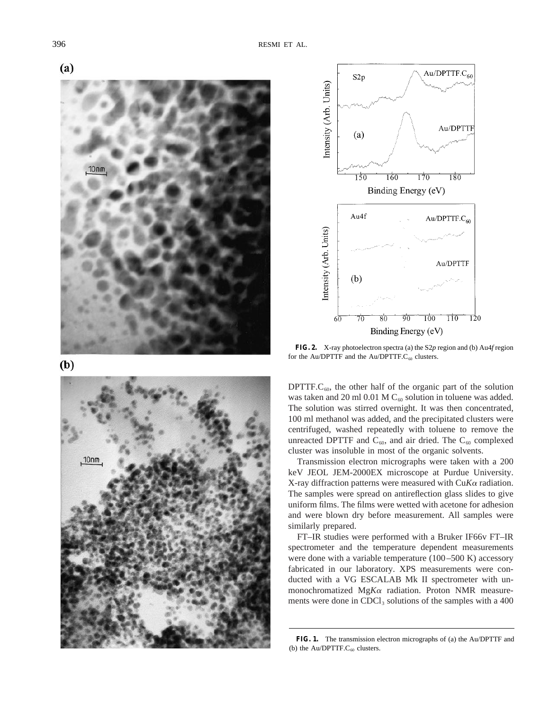



 $(b)$ 





**FIG. 2.** X-ray photoelectron spectra (a) the S2*p* region and (b) Au4*f* region for the Au/DPTTF and the Au/DPTTF. $C_{60}$  clusters.

DPTTF.C<sub>60</sub>, the other half of the organic part of the solution was taken and 20 ml 0.01 M  $C_{60}$  solution in toluene was added. The solution was stirred overnight. It was then concentrated, 100 ml methanol was added, and the precipitated clusters were centrifuged, washed repeatedly with toluene to remove the unreacted DPTTF and  $C_{60}$ , and air dried. The  $C_{60}$  complexed cluster was insoluble in most of the organic solvents.

Transmission electron micrographs were taken with a 200 keV JEOL JEM-2000EX microscope at Purdue University. X-ray diffraction patterns were measured with Cu*K*<sup>a</sup> radiation. The samples were spread on antireflection glass slides to give uniform films. The films were wetted with acetone for adhesion and were blown dry before measurement. All samples were similarly prepared.

FT–IR studies were performed with a Bruker IF66v FT–IR spectrometer and the temperature dependent measurements were done with a variable temperature (100–500 K) accessory fabricated in our laboratory. XPS measurements were conducted with a VG ESCALAB Mk II spectrometer with unmonochromatized Mg*K*<sup>a</sup> radiation. Proton NMR measurements were done in  $CDCl<sub>3</sub>$  solutions of the samples with a 400

**FIG. 1.** The transmission electron micrographs of (a) the Au/DPTTF and (b) the Au/DPTTF. $C_{60}$  clusters.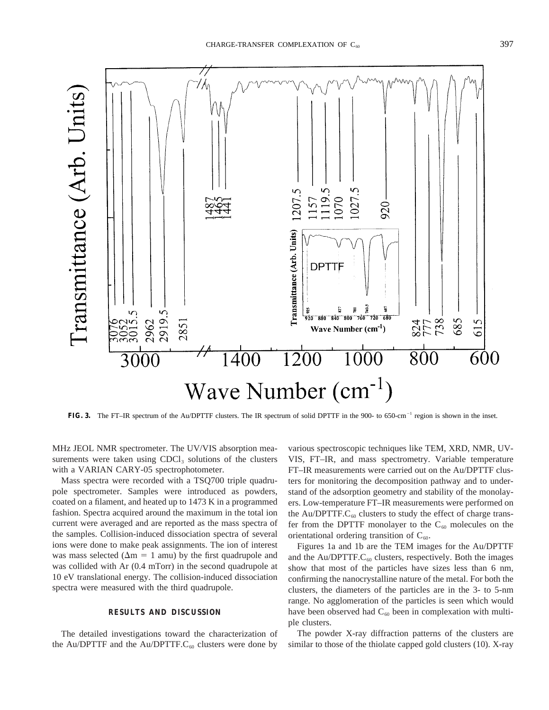

**FIG. 3.** The FT–IR spectrum of the Au/DPTTF clusters. The IR spectrum of solid DPTTF in the 900- to 650-cm<sup>-1</sup> region is shown in the inset.

MHz JEOL NMR spectrometer. The UV/VIS absorption measurements were taken using  $CDCl<sub>3</sub>$  solutions of the clusters with a VARIAN CARY-05 spectrophotometer.

Mass spectra were recorded with a TSQ700 triple quadrupole spectrometer. Samples were introduced as powders, coated on a filament, and heated up to 1473 K in a programmed fashion. Spectra acquired around the maximum in the total ion current were averaged and are reported as the mass spectra of the samples. Collision-induced dissociation spectra of several ions were done to make peak assignments. The ion of interest was mass selected ( $\Delta m = 1$  amu) by the first quadrupole and was collided with Ar (0.4 mTorr) in the second quadrupole at 10 eV translational energy. The collision-induced dissociation spectra were measured with the third quadrupole.

## **RESULTS AND DISCUSSION**

The detailed investigations toward the characterization of the Au/DPTTF and the Au/DPTTF. $C_{60}$  clusters were done by

various spectroscopic techniques like TEM, XRD, NMR, UV-VIS, FT–IR, and mass spectrometry. Variable temperature FT–IR measurements were carried out on the Au/DPTTF clusters for monitoring the decomposition pathway and to understand of the adsorption geometry and stability of the monolayers. Low-temperature FT–IR measurements were performed on the Au/DPTTF. $C_{60}$  clusters to study the effect of charge transfer from the DPTTF monolayer to the  $C_{60}$  molecules on the orientational ordering transition of  $C_{60}$ .

Figures 1a and 1b are the TEM images for the Au/DPTTF and the Au/DPTTF. $C_{60}$  clusters, respectively. Both the images show that most of the particles have sizes less than 6 nm, confirming the nanocrystalline nature of the metal. For both the clusters, the diameters of the particles are in the 3- to 5-nm range. No agglomeration of the particles is seen which would have been observed had  $C_{60}$  been in complexation with multiple clusters.

The powder X-ray diffraction patterns of the clusters are similar to those of the thiolate capped gold clusters (10). X-ray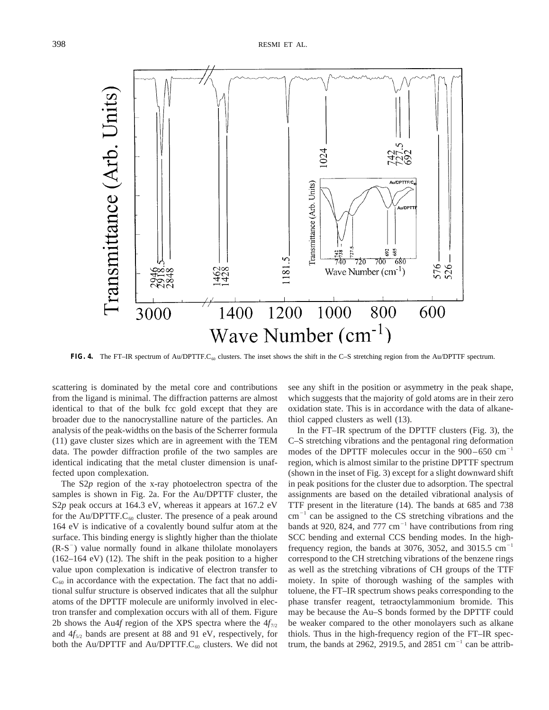Transmittance (Arb. Units) 1024 Au/DPTTF/C Transmittance (Arb. Units) Au/DPTT 692<br>685  $\frac{78}{740}$ 181.5 680 720 700 576<br>526 Wave Number  $(cm<sup>-1</sup>)$ 1200 800 1400 1000 600 3000 Wave Number  $(cm^{-1})$ 

**FIG. 4.** The FT–IR spectrum of Au/DPTTF.C<sub>60</sub> clusters. The inset shows the shift in the C–S stretching region from the Au/DPTTF spectrum.

scattering is dominated by the metal core and contributions from the ligand is minimal. The diffraction patterns are almost identical to that of the bulk fcc gold except that they are broader due to the nanocrystalline nature of the particles. An analysis of the peak-widths on the basis of the Scherrer formula (11) gave cluster sizes which are in agreement with the TEM data. The powder diffraction profile of the two samples are identical indicating that the metal cluster dimension is unaffected upon complexation.

The S2*p* region of the x-ray photoelectron spectra of the samples is shown in Fig. 2a. For the Au/DPTTF cluster, the S2*p* peak occurs at 164.3 eV, whereas it appears at 167.2 eV for the Au/DPTTF. $C_{60}$  cluster. The presence of a peak around 164 eV is indicative of a covalently bound sulfur atom at the surface. This binding energy is slightly higher than the thiolate  $(R-S^{-})$  value normally found in alkane thilolate monolayers (162–164 eV) (12). The shift in the peak position to a higher value upon complexation is indicative of electron transfer to  $C_{60}$  in accordance with the expectation. The fact that no additional sulfur structure is observed indicates that all the sulphur atoms of the DPTTF molecule are uniformly involved in electron transfer and complexation occurs with all of them. Figure 2b shows the Au4*f* region of the XPS spectra where the  $4f_{7/2}$ and  $4f_{5/2}$  bands are present at 88 and 91 eV, respectively, for both the Au/DPTTF and Au/DPTTF. $C_{60}$  clusters. We did not see any shift in the position or asymmetry in the peak shape, which suggests that the majority of gold atoms are in their zero oxidation state. This is in accordance with the data of alkanethiol capped clusters as well (13).

In the FT–IR spectrum of the DPTTF clusters (Fig. 3), the C–S stretching vibrations and the pentagonal ring deformation modes of the DPTTF molecules occur in the  $900-650$  cm<sup>-1</sup> region, which is almost similar to the pristine DPTTF spectrum (shown in the inset of Fig. 3) except for a slight downward shift in peak positions for the cluster due to adsorption. The spectral assignments are based on the detailed vibrational analysis of TTF present in the literature (14). The bands at 685 and 738  $cm^{-1}$  can be assigned to the CS stretching vibrations and the bands at 920, 824, and 777  $cm^{-1}$  have contributions from ring SCC bending and external CCS bending modes. In the highfrequency region, the bands at 3076, 3052, and 3015.5  $cm^{-1}$ correspond to the CH stretching vibrations of the benzene rings as well as the stretching vibrations of CH groups of the TTF moiety. In spite of thorough washing of the samples with toluene, the FT–IR spectrum shows peaks corresponding to the phase transfer reagent, tetraoctylammonium bromide. This may be because the Au–S bonds formed by the DPTTF could be weaker compared to the other monolayers such as alkane thiols. Thus in the high-frequency region of the FT–IR spectrum, the bands at 2962, 2919.5, and 2851  $\text{cm}^{-1}$  can be attrib-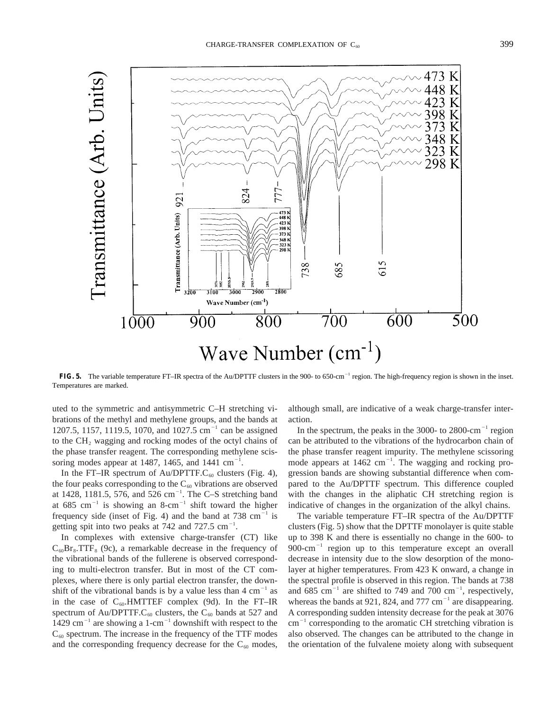

FIG. 5. The variable temperature FT–IR spectra of the Au/DPTTF clusters in the 900- to 650-cm<sup>-1</sup> region. The high-frequency region is shown in the inset. Temperatures are marked.

uted to the symmetric and antisymmetric C–H stretching vibrations of the methyl and methylene groups, and the bands at 1207.5, 1157, 1119.5, 1070, and 1027.5 cm<sup>-1</sup> can be assigned to the  $CH<sub>2</sub>$  wagging and rocking modes of the octyl chains of the phase transfer reagent. The corresponding methylene scissoring modes appear at 1487, 1465, and 1441  $cm^{-1}$ .

In the FT–IR spectrum of Au/DPTTF. $C_{60}$  clusters (Fig. 4), the four peaks corresponding to the  $C_{60}$  vibrations are observed at 1428, 1181.5, 576, and 526  $cm^{-1}$ . The C-S stretching band at 685 cm<sup>-1</sup> is showing an 8-cm<sup>-1</sup> shift toward the higher frequency side (inset of Fig. 4) and the band at  $738 \text{ cm}^{-1}$  is getting spit into two peaks at 742 and 727.5  $cm^{-1}$ .

In complexes with extensive charge-transfer (CT) like  $C_{60}Br_8. TTF_8$  (9c), a remarkable decrease in the frequency of the vibrational bands of the fullerene is observed corresponding to multi-electron transfer. But in most of the CT complexes, where there is only partial electron transfer, the downshift of the vibrational bands is by a value less than  $4 \text{ cm}^{-1}$  as in the case of  $C_{60}$ . HMTTEF complex (9d). In the FT–IR spectrum of Au/DPTTF.C<sub>60</sub> clusters, the C<sub>60</sub> bands at 527 and 1429 cm<sup>-1</sup> are showing a 1-cm<sup>-1</sup> downshift with respect to the  $C_{60}$  spectrum. The increase in the frequency of the TTF modes and the corresponding frequency decrease for the  $C_{60}$  modes,

although small, are indicative of a weak charge-transfer interaction.

In the spectrum, the peaks in the 3000- to  $2800 \text{ cm}^{-1}$  region can be attributed to the vibrations of the hydrocarbon chain of the phase transfer reagent impurity. The methylene scissoring mode appears at  $1462 \text{ cm}^{-1}$ . The wagging and rocking progression bands are showing substantial difference when compared to the Au/DPTTF spectrum. This difference coupled with the changes in the aliphatic CH stretching region is indicative of changes in the organization of the alkyl chains.

The variable temperature FT–IR spectra of the Au/DPTTF clusters (Fig. 5) show that the DPTTF monolayer is quite stable up to 398 K and there is essentially no change in the 600- to  $900$ -cm<sup>-1</sup> region up to this temperature except an overall decrease in intensity due to the slow desorption of the monolayer at higher temperatures. From 423 K onward, a change in the spectral profile is observed in this region. The bands at 738 and 685 cm<sup>-1</sup> are shifted to 749 and 700 cm<sup>-1</sup>, respectively, whereas the bands at 921, 824, and 777 cm<sup>-1</sup> are disappearing. A corresponding sudden intensity decrease for the peak at 3076  $\text{cm}^{-1}$  corresponding to the aromatic CH stretching vibration is also observed. The changes can be attributed to the change in the orientation of the fulvalene moiety along with subsequent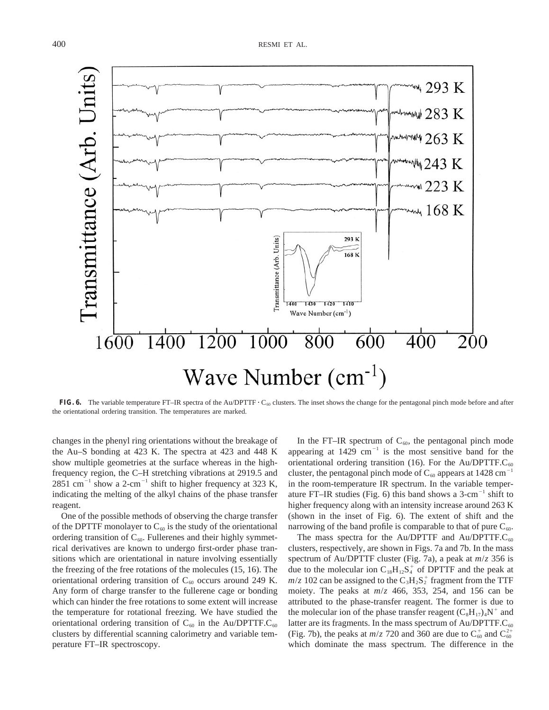

**FIG. 6.** The variable temperature FT–IR spectra of the Au/DPTTF  $\cdot$  C<sub>60</sub> clusters. The inset shows the change for the pentagonal pinch mode before and after the orientational ordering transition. The temperatures are marked.

changes in the phenyl ring orientations without the breakage of the Au–S bonding at 423 K. The spectra at 423 and 448 K show multiple geometries at the surface whereas in the highfrequency region, the C–H stretching vibrations at 2919.5 and  $2851$  cm<sup>-1</sup> show a 2-cm<sup>-1</sup> shift to higher frequency at 323 K, indicating the melting of the alkyl chains of the phase transfer reagent.

One of the possible methods of observing the charge transfer of the DPTTF monolayer to  $C_{60}$  is the study of the orientational ordering transition of  $C_{60}$ . Fullerenes and their highly symmetrical derivatives are known to undergo first-order phase transitions which are orientational in nature involving essentially the freezing of the free rotations of the molecules (15, 16). The orientational ordering transition of  $C_{60}$  occurs around 249 K. Any form of charge transfer to the fullerene cage or bonding which can hinder the free rotations to some extent will increase the temperature for rotational freezing. We have studied the orientational ordering transition of  $C_{60}$  in the Au/DPTTF. $C_{60}$ clusters by differential scanning calorimetry and variable temperature FT–IR spectroscopy.

In the FT–IR spectrum of  $C_{60}$ , the pentagonal pinch mode appearing at  $1429 \text{ cm}^{-1}$  is the most sensitive band for the orientational ordering transition (16). For the Au/DPTTF. $C_{60}$ cluster, the pentagonal pinch mode of  $C_{60}$  appears at 1428 cm<sup>-1</sup> in the room-temperature IR spectrum. In the variable temperature FT–IR studies (Fig. 6) this band shows a  $3$ -cm<sup>-1</sup> shift to higher frequency along with an intensity increase around 263 K (shown in the inset of Fig. 6). The extent of shift and the narrowing of the band profile is comparable to that of pure  $C_{60}$ .

The mass spectra for the Au/DPTTF and Au/DPTTF. $C_{60}$ clusters, respectively, are shown in Figs. 7a and 7b. In the mass spectrum of Au/DPTTF cluster (Fig. 7a), a peak at *m*/*z* 356 is due to the molecular ion  $C_{18}H_{12}S_4^+$  of DPTTF and the peak at  $m/z$  102 can be assigned to the  $C_3H_2S_2^+$  fragment from the TTF moiety. The peaks at *m*/*z* 466, 353, 254, and 156 can be attributed to the phase-transfer reagent. The former is due to the molecular ion of the phase transfer reagent  $(C_8H_{17})_4N^+$  and latter are its fragments. In the mass spectrum of  $Au/DPTTF.C<sub>60</sub>$ (Fig. 7b), the peaks at  $m/z$  720 and 360 are due to  $C_{60}^{+}$  and  $C_{60}^{2+}$ which dominate the mass spectrum. The difference in the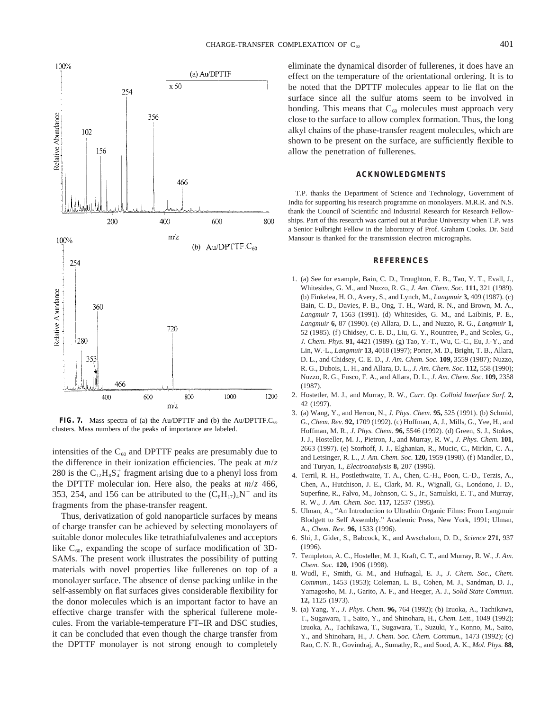

**FIG. 7.** Mass spectra of (a) the Au/DPTTF and (b) the Au/DPTTF. $C_{60}$ clusters. Mass numbers of the peaks of importance are labeled.

intensities of the  $C_{60}$  and DPTTF peaks are presumably due to the difference in their ionization efficiencies. The peak at *m*/*z* 280 is the  $C_{12}H_8S_4^+$  fragment arising due to a phenyl loss from the DPTTF molecular ion. Here also, the peaks at *m*/*z* 466, 353, 254, and 156 can be attributed to the  $(C_8H_{17})_4N^+$  and its fragments from the phase-transfer reagent.

Thus, derivatization of gold nanoparticle surfaces by means of charge transfer can be achieved by selecting monolayers of suitable donor molecules like tetrathiafulvalenes and acceptors like  $C_{60}$ , expanding the scope of surface modification of 3D-SAMs. The present work illustrates the possibility of putting materials with novel properties like fullerenes on top of a monolayer surface. The absence of dense packing unlike in the self-assembly on flat surfaces gives considerable flexibility for the donor molecules which is an important factor to have an effective charge transfer with the spherical fullerene molecules. From the variable-temperature FT–IR and DSC studies, it can be concluded that even though the charge transfer from the DPTTF monolayer is not strong enough to completely eliminate the dynamical disorder of fullerenes, it does have an effect on the temperature of the orientational ordering. It is to be noted that the DPTTF molecules appear to lie flat on the surface since all the sulfur atoms seem to be involved in bonding. This means that  $C_{60}$  molecules must approach very close to the surface to allow complex formation. Thus, the long alkyl chains of the phase-transfer reagent molecules, which are shown to be present on the surface, are sufficiently flexible to allow the penetration of fullerenes.

#### **ACKNOWLEDGMENTS**

T.P. thanks the Department of Science and Technology, Government of India for supporting his research programme on monolayers. M.R.R. and N.S. thank the Council of Scientific and Industrial Research for Research Fellowships. Part of this research was carried out at Purdue University when T.P. was a Senior Fulbright Fellow in the laboratory of Prof. Graham Cooks. Dr. Said Mansour is thanked for the transmission electron micrographs.

#### **REFERENCES**

- 1. (a) See for example, Bain, C. D., Troughton, E. B., Tao, Y. T., Evall, J., Whitesides, G. M., and Nuzzo, R. G., *J. Am. Chem. Soc.* **111,** 321 (1989). (b) Finkelea, H. O., Avery, S., and Lynch, M., *Langmuir* **3,** 409 (1987). (c) Bain, C. D., Davies, P. B., Ong, T. H., Ward, R. N., and Brown, M. A., *Langmuir* **7,** 1563 (1991). (d) Whitesides, G. M., and Laibinis, P. E., *Langmuir* **6,** 87 (1990). (e) Allara, D. L., and Nuzzo, R. G., *Langmuir* **1,** 52 (1985). (f ) Chidsey, C. E. D., Liu, G. Y., Rountree, P., and Scoles, G., *J. Chem. Phys.* **91,** 4421 (1989). (g) Tao, Y.-T., Wu, C.-C., Eu, J.-Y., and Lin, W.-L., *Langmuir* **13,** 4018 (1997); Porter, M. D., Bright, T. B., Allara, D. L., and Chidsey, C. E. D., *J. Am. Chem. Soc.* **109,** 3559 (1987); Nuzzo, R. G., Dubois, L. H., and Allara, D. L., *J. Am. Chem. Soc.* **112,** 558 (1990); Nuzzo, R. G., Fusco, F. A., and Allara, D. L., *J. Am. Chem. Soc.* **109,** 2358 (1987).
- 2. Hostetler, M. J., and Murray, R. W., *Curr. Op. Colloid Interface Surf.* **2,** 42 (1997).
- 3. (a) Wang, Y., and Herron, N., *J. Phys. Chem.* **95,** 525 (1991). (b) Schmid, G., *Chem. Rev.* **92,** 1709 (1992). (c) Hoffman, A, J., Mills, G., Yee, H., and Hoffman, M. R., *J. Phys. Chem.* **96,** 5546 (1992). (d) Green, S. J., Stokes, J. J., Hosteller, M. J., Pietron, J., and Murray, R. W., *J. Phys. Chem.* **101,** 2663 (1997). (e) Storhoff, J. J., Elghanian, R., Mucic, C., Mirkin, C. A., and Letsinger, R. L., *J. Am. Chem. Soc.* **120,** 1959 (1998). (f ) Mandler, D., and Turyan, I., *Electroanalysis* **8,** 207 (1996).
- 4. Terril, R. H., Postlethwaite, T. A., Chen, C.-H., Poon, C.-D., Terzis, A., Chen, A., Hutchison, J. E., Clark, M. R., Wignall, G., Londono, J. D., Superfine, R., Falvo, M., Johnson, C. S., Jr., Samulski, E. T., and Murray, R. W., *J. Am. Chem. Soc.* **117,** 12537 (1995).
- 5. Ulman, A., "An Introduction to Ultrathin Organic Films: From Langmuir Blodgett to Self Assembly." Academic Press, New York, 1991; Ulman, A., *Chem. Rev.* **96,** 1533 (1996).
- 6. Shi, J., Gider, S., Babcock, K., and Awschalom, D. D., *Science* **271,** 937 (1996).
- 7. Templeton, A. C., Hosteller, M. J., Kraft, C. T., and Murray, R. W., *J. Am. Chem. Soc.* **120,** 1906 (1998).
- 8. Wudl, F., Smith, G. M., and Hufnagal, E. J., *J. Chem. Soc., Chem. Commun.,* 1453 (1953); Coleman, L. B., Cohen, M. J., Sandman, D. J., Yamagosho, M. J., Garito, A. F., and Heeger, A. J., *Solid State Commun.* **12,** 1125 (1973).
- 9. (a) Yang, Y., *J. Phys. Chem.* **96,** 764 (1992); (b) Izuoka, A., Tachikawa, T., Sugawara, T., Saito, Y., and Shinohara, H., *Chem. Lett.,* 1049 (1992); Izuoka, A., Tachikawa, T., Sugawara, T., Suzuki, Y., Konno, M., Saito, Y., and Shinohara, H., *J. Chem. Soc. Chem. Commun.,* 1473 (1992); (c) Rao, C. N. R., Govindraj, A., Sumathy, R., and Sood, A. K., *Mol. Phys.* **88,**